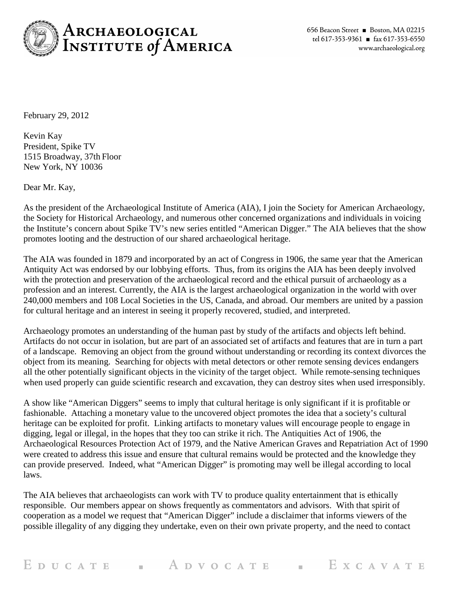

February 29, 2012

Kevin Kay President, Spike TV 1515 Broadway, 37th Floor New York, NY 10036

Dear Mr. Kay,

As the president of the Archaeological Institute of America (AIA), I join the Society for American Archaeology, the Society for Historical Archaeology, and numerous other concerned organizations and individuals in voicing the Institute's concern about Spike TV's new series entitled "American Digger." The AIA believes that the show promotes looting and the destruction of our shared archaeological heritage.

The AIA was founded in 1879 and incorporated by an act of Congress in 1906, the same year that the American Antiquity Act was endorsed by our lobbying efforts. Thus, from its origins the AIA has been deeply involved with the protection and preservation of the archaeological record and the ethical pursuit of archaeology as a profession and an interest. Currently, the AIA is the largest archaeological organization in the world with over 240,000 members and 108 Local Societies in the US, Canada, and abroad. Our members are united by a passion for cultural heritage and an interest in seeing it properly recovered, studied, and interpreted.

Archaeology promotes an understanding of the human past by study of the artifacts and objects left behind. Artifacts do not occur in isolation, but are part of an associated set of artifacts and features that are in turn a part of a landscape. Removing an object from the ground without understanding or recording its context divorces the object from its meaning. Searching for objects with metal detectors or other remote sensing devices endangers all the other potentially significant objects in the vicinity of the target object. While remote-sensing techniques when used properly can guide scientific research and excavation, they can destroy sites when used irresponsibly.

A show like "American Diggers" seems to imply that cultural heritage is only significant if it is profitable or fashionable. Attaching a monetary value to the uncovered object promotes the idea that a society's cultural heritage can be exploited for profit. Linking artifacts to monetary values will encourage people to engage in digging, legal or illegal, in the hopes that they too can strike it rich. The Antiquities Act of 1906, the Archaeological Resources Protection Act of 1979, and the Native American Graves and Repatriation Act of 1990 were created to address this issue and ensure that cultural remains would be protected and the knowledge they can provide preserved. Indeed, what "American Digger" is promoting may well be illegal according to local laws.

The AIA believes that archaeologists can work with TV to produce quality entertainment that is ethically responsible. Our members appear on shows frequently as commentators and advisors. With that spirit of cooperation as a model we request that "American Digger" include a disclaimer that informs viewers of the possible illegality of any digging they undertake, even on their own private property, and the need to contact